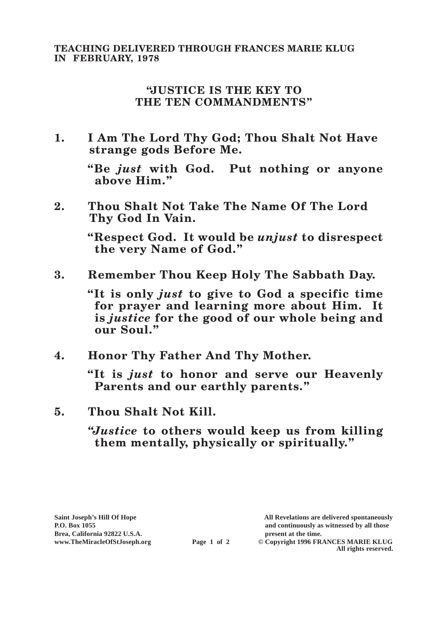## **TEACHING DELIVERED THROUGH FRANCES MARIE KLUG IN FEBRUARY, 1978**

## **"JUSTICE IS THE KEY TO THE TEN COMMANDMENTS"**

**1. I Am The Lord Thy God; Thou Shalt Not Have strange gods Before Me.**

**"Be** *just* **with God. Put nothing or anyone above Him."**

**2. Thou Shalt Not Take The Name Of The Lord Thy God In Vain.**

> **"Respect God. It would be** *unjust* **to disrespect the very Name of God."**

**3. Remember Thou Keep Holy The Sabbath Day.**

**"It is only** *just* **to give to God a specific time for prayer and learning more about Him. It is** *justice* **for the good of our whole being and our Soul."**

**4. Honor Thy Father And Thy Mother.**

**"It is** *just* **to honor and serve our Heavenly Parents and our earthly parents."**

- **5. Thou Shalt Not Kill.**
	- *"Justice* **to others would keep us from killing them mentally, physically or spiritually."**

**Saint Joseph's Hill Of Hope All Revelations are delivered spontaneously P.O. Box 1055 and continuously as witnessed by all those** 

 $\odot$  Copyright 1996 FRANCES MARIE KLUG **All rights reserved.**